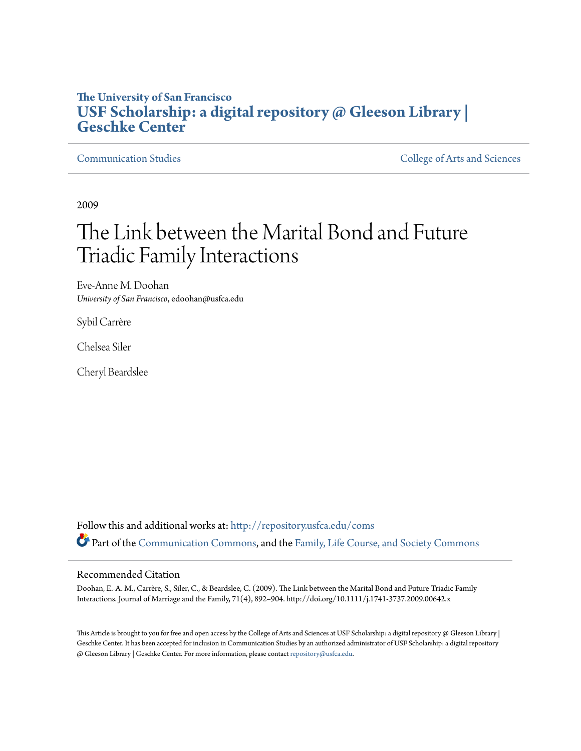### **The University of San Francisco [USF Scholarship: a digital repository @ Gleeson Library |](http://repository.usfca.edu?utm_source=repository.usfca.edu%2Fcoms%2F6&utm_medium=PDF&utm_campaign=PDFCoverPages) [Geschke Center](http://repository.usfca.edu?utm_source=repository.usfca.edu%2Fcoms%2F6&utm_medium=PDF&utm_campaign=PDFCoverPages)**

[Communication Studies](http://repository.usfca.edu/coms?utm_source=repository.usfca.edu%2Fcoms%2F6&utm_medium=PDF&utm_campaign=PDFCoverPages) [College of Arts and Sciences](http://repository.usfca.edu/artsci?utm_source=repository.usfca.edu%2Fcoms%2F6&utm_medium=PDF&utm_campaign=PDFCoverPages)

2009

## The Link between the Marital Bond and Future Triadic Family Interactions

Eve-Anne M. Doohan *University of San Francisco*, edoohan@usfca.edu

Sybil Carrère

Chelsea Siler

Cheryl Beardslee

Follow this and additional works at: [http://repository.usfca.edu/coms](http://repository.usfca.edu/coms?utm_source=repository.usfca.edu%2Fcoms%2F6&utm_medium=PDF&utm_campaign=PDFCoverPages) Part of the [Communication Commons](http://network.bepress.com/hgg/discipline/325?utm_source=repository.usfca.edu%2Fcoms%2F6&utm_medium=PDF&utm_campaign=PDFCoverPages), and the [Family, Life Course, and Society Commons](http://network.bepress.com/hgg/discipline/419?utm_source=repository.usfca.edu%2Fcoms%2F6&utm_medium=PDF&utm_campaign=PDFCoverPages)

#### Recommended Citation

Doohan, E.-A. M., Carrère, S., Siler, C., & Beardslee, C. (2009). The Link between the Marital Bond and Future Triadic Family Interactions. Journal of Marriage and the Family, 71(4), 892–904. http://doi.org/10.1111/j.1741-3737.2009.00642.x

This Article is brought to you for free and open access by the College of Arts and Sciences at USF Scholarship: a digital repository @ Gleeson Library | Geschke Center. It has been accepted for inclusion in Communication Studies by an authorized administrator of USF Scholarship: a digital repository @ Gleeson Library | Geschke Center. For more information, please contact [repository@usfca.edu](mailto:repository@usfca.edu).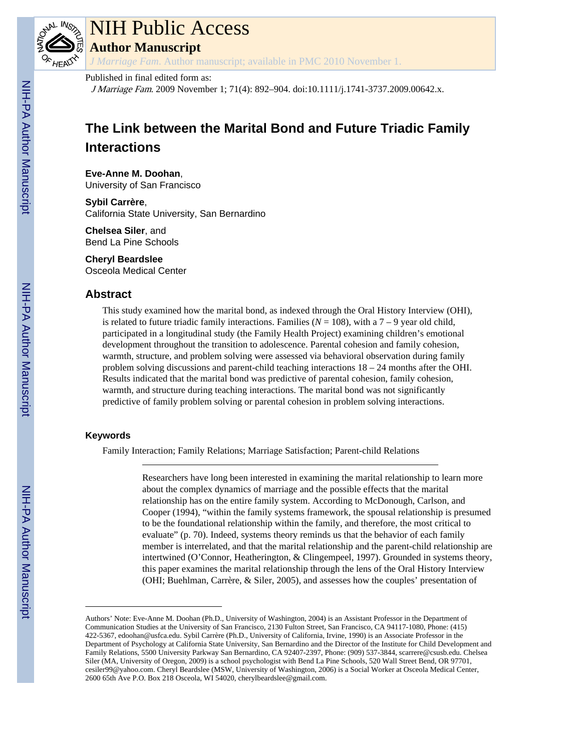

## NIH Public Access

**Author Manuscript**

*J Marriage Fam*. Author manuscript; available in PMC 2010 November 1.

#### Published in final edited form as:

J Marriage Fam. 2009 November 1; 71(4): 892–904. doi:10.1111/j.1741-3737.2009.00642.x.

## **The Link between the Marital Bond and Future Triadic Family Interactions**

**Eve-Anne M. Doohan**,

University of San Francisco

**Sybil Carrère**, California State University, San Bernardino

**Chelsea Siler**, and Bend La Pine Schools

**Cheryl Beardslee**

Osceola Medical Center

#### **Abstract**

This study examined how the marital bond, as indexed through the Oral History Interview (OHI), is related to future triadic family interactions. Families ( $N = 108$ ), with a  $7 - 9$  year old child, participated in a longitudinal study (the Family Health Project) examining children's emotional development throughout the transition to adolescence. Parental cohesion and family cohesion, warmth, structure, and problem solving were assessed via behavioral observation during family problem solving discussions and parent-child teaching interactions 18 – 24 months after the OHI. Results indicated that the marital bond was predictive of parental cohesion, family cohesion, warmth, and structure during teaching interactions. The marital bond was not significantly predictive of family problem solving or parental cohesion in problem solving interactions.

#### **Keywords**

Family Interaction; Family Relations; Marriage Satisfaction; Parent-child Relations

Researchers have long been interested in examining the marital relationship to learn more about the complex dynamics of marriage and the possible effects that the marital relationship has on the entire family system. According to McDonough, Carlson, and Cooper (1994), "within the family systems framework, the spousal relationship is presumed to be the foundational relationship within the family, and therefore, the most critical to evaluate" (p. 70). Indeed, systems theory reminds us that the behavior of each family member is interrelated, and that the marital relationship and the parent-child relationship are intertwined (O'Connor, Heatherington, & Clingempeel, 1997). Grounded in systems theory, this paper examines the marital relationship through the lens of the Oral History Interview (OHI; Buehlman, Carrère, & Siler, 2005), and assesses how the couples' presentation of

Authors' Note: Eve-Anne M. Doohan (Ph.D., University of Washington, 2004) is an Assistant Professor in the Department of Communication Studies at the University of San Francisco, 2130 Fulton Street, San Francisco, CA 94117-1080, Phone: (415) 422-5367, edoohan@usfca.edu. Sybil Carrère (Ph.D., University of California, Irvine, 1990) is an Associate Professor in the Department of Psychology at California State University, San Bernardino and the Director of the Institute for Child Development and Family Relations, 5500 University Parkway San Bernardino, CA 92407-2397, Phone: (909) 537-3844, scarrere@csusb.edu. Chelsea Siler (MA, University of Oregon, 2009) is a school psychologist with Bend La Pine Schools, 520 Wall Street Bend, OR 97701, cesiler99@yahoo.com. Cheryl Beardslee (MSW, University of Washington, 2006) is a Social Worker at Osceola Medical Center, 2600 65th Ave P.O. Box 218 Osceola, WI 54020, cherylbeardslee@gmail.com.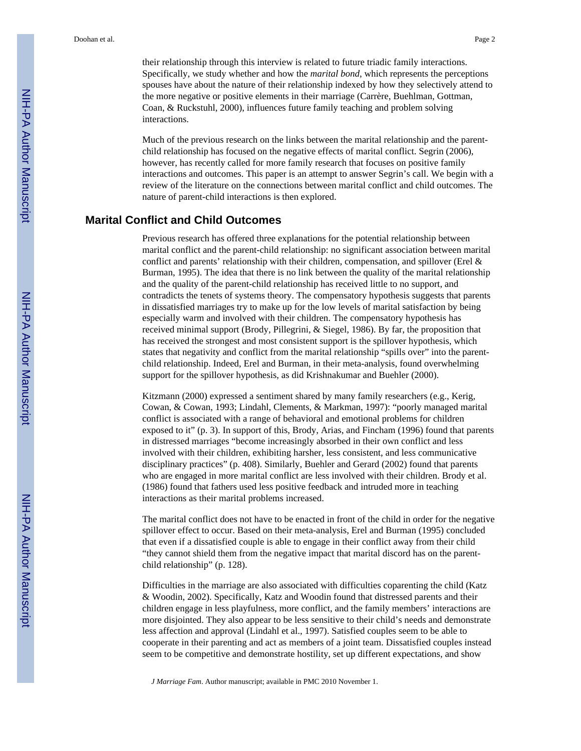their relationship through this interview is related to future triadic family interactions. Specifically, we study whether and how the *marital bond*, which represents the perceptions spouses have about the nature of their relationship indexed by how they selectively attend to the more negative or positive elements in their marriage (Carrère, Buehlman, Gottman, Coan, & Ruckstuhl, 2000), influences future family teaching and problem solving interactions.

Much of the previous research on the links between the marital relationship and the parentchild relationship has focused on the negative effects of marital conflict. Segrin (2006), however, has recently called for more family research that focuses on positive family interactions and outcomes. This paper is an attempt to answer Segrin's call. We begin with a review of the literature on the connections between marital conflict and child outcomes. The nature of parent-child interactions is then explored.

#### **Marital Conflict and Child Outcomes**

Previous research has offered three explanations for the potential relationship between marital conflict and the parent-child relationship: no significant association between marital conflict and parents' relationship with their children, compensation, and spillover (Erel  $\&$ Burman, 1995). The idea that there is no link between the quality of the marital relationship and the quality of the parent-child relationship has received little to no support, and contradicts the tenets of systems theory. The compensatory hypothesis suggests that parents in dissatisfied marriages try to make up for the low levels of marital satisfaction by being especially warm and involved with their children. The compensatory hypothesis has received minimal support (Brody, Pillegrini, & Siegel, 1986). By far, the proposition that has received the strongest and most consistent support is the spillover hypothesis, which states that negativity and conflict from the marital relationship "spills over" into the parentchild relationship. Indeed, Erel and Burman, in their meta-analysis, found overwhelming support for the spillover hypothesis, as did Krishnakumar and Buehler (2000).

Kitzmann (2000) expressed a sentiment shared by many family researchers (e.g., Kerig, Cowan, & Cowan, 1993; Lindahl, Clements, & Markman, 1997): "poorly managed marital conflict is associated with a range of behavioral and emotional problems for children exposed to it" (p. 3). In support of this, Brody, Arias, and Fincham (1996) found that parents in distressed marriages "become increasingly absorbed in their own conflict and less involved with their children, exhibiting harsher, less consistent, and less communicative disciplinary practices" (p. 408). Similarly, Buehler and Gerard (2002) found that parents who are engaged in more marital conflict are less involved with their children. Brody et al. (1986) found that fathers used less positive feedback and intruded more in teaching interactions as their marital problems increased.

The marital conflict does not have to be enacted in front of the child in order for the negative spillover effect to occur. Based on their meta-analysis, Erel and Burman (1995) concluded that even if a dissatisfied couple is able to engage in their conflict away from their child "they cannot shield them from the negative impact that marital discord has on the parentchild relationship" (p. 128).

Difficulties in the marriage are also associated with difficulties coparenting the child (Katz & Woodin, 2002). Specifically, Katz and Woodin found that distressed parents and their children engage in less playfulness, more conflict, and the family members' interactions are more disjointed. They also appear to be less sensitive to their child's needs and demonstrate less affection and approval (Lindahl et al., 1997). Satisfied couples seem to be able to cooperate in their parenting and act as members of a joint team. Dissatisfied couples instead seem to be competitive and demonstrate hostility, set up different expectations, and show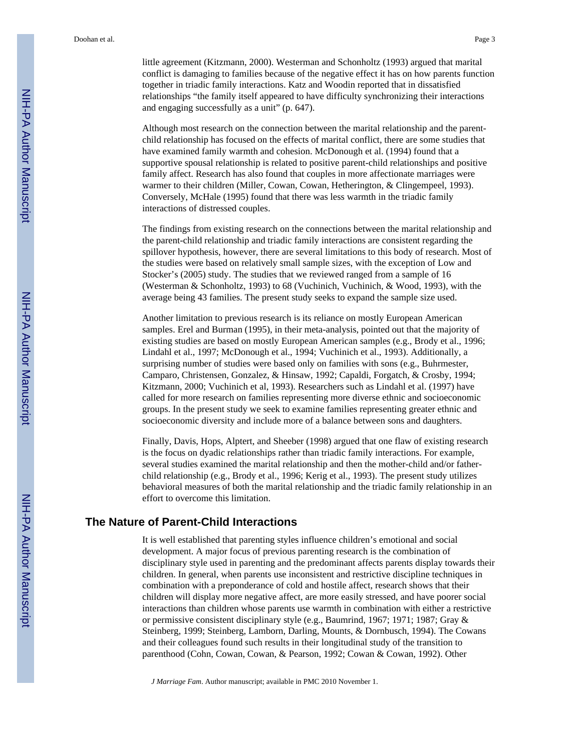little agreement (Kitzmann, 2000). Westerman and Schonholtz (1993) argued that marital conflict is damaging to families because of the negative effect it has on how parents function together in triadic family interactions. Katz and Woodin reported that in dissatisfied relationships "the family itself appeared to have difficulty synchronizing their interactions and engaging successfully as a unit" (p. 647).

Although most research on the connection between the marital relationship and the parentchild relationship has focused on the effects of marital conflict, there are some studies that have examined family warmth and cohesion. McDonough et al. (1994) found that a supportive spousal relationship is related to positive parent-child relationships and positive family affect. Research has also found that couples in more affectionate marriages were warmer to their children (Miller, Cowan, Cowan, Hetherington, & Clingempeel, 1993). Conversely, McHale (1995) found that there was less warmth in the triadic family interactions of distressed couples.

The findings from existing research on the connections between the marital relationship and the parent-child relationship and triadic family interactions are consistent regarding the spillover hypothesis, however, there are several limitations to this body of research. Most of the studies were based on relatively small sample sizes, with the exception of Low and Stocker's (2005) study. The studies that we reviewed ranged from a sample of 16 (Westerman & Schonholtz, 1993) to 68 (Vuchinich, Vuchinich, & Wood, 1993), with the average being 43 families. The present study seeks to expand the sample size used.

Another limitation to previous research is its reliance on mostly European American samples. Erel and Burman (1995), in their meta-analysis, pointed out that the majority of existing studies are based on mostly European American samples (e.g., Brody et al., 1996; Lindahl et al., 1997; McDonough et al., 1994; Vuchinich et al., 1993). Additionally, a surprising number of studies were based only on families with sons (e.g., Buhrmester, Camparo, Christensen, Gonzalez, & Hinsaw, 1992; Capaldi, Forgatch, & Crosby, 1994; Kitzmann, 2000; Vuchinich et al, 1993). Researchers such as Lindahl et al. (1997) have called for more research on families representing more diverse ethnic and socioeconomic groups. In the present study we seek to examine families representing greater ethnic and socioeconomic diversity and include more of a balance between sons and daughters.

Finally, Davis, Hops, Alptert, and Sheeber (1998) argued that one flaw of existing research is the focus on dyadic relationships rather than triadic family interactions. For example, several studies examined the marital relationship and then the mother-child and/or fatherchild relationship (e.g., Brody et al., 1996; Kerig et al., 1993). The present study utilizes behavioral measures of both the marital relationship and the triadic family relationship in an effort to overcome this limitation.

#### **The Nature of Parent-Child Interactions**

It is well established that parenting styles influence children's emotional and social development. A major focus of previous parenting research is the combination of disciplinary style used in parenting and the predominant affects parents display towards their children. In general, when parents use inconsistent and restrictive discipline techniques in combination with a preponderance of cold and hostile affect, research shows that their children will display more negative affect, are more easily stressed, and have poorer social interactions than children whose parents use warmth in combination with either a restrictive or permissive consistent disciplinary style (e.g., Baumrind, 1967; 1971; 1987; Gray & Steinberg, 1999; Steinberg, Lamborn, Darling, Mounts, & Dornbusch, 1994). The Cowans and their colleagues found such results in their longitudinal study of the transition to parenthood (Cohn, Cowan, Cowan, & Pearson, 1992; Cowan & Cowan, 1992). Other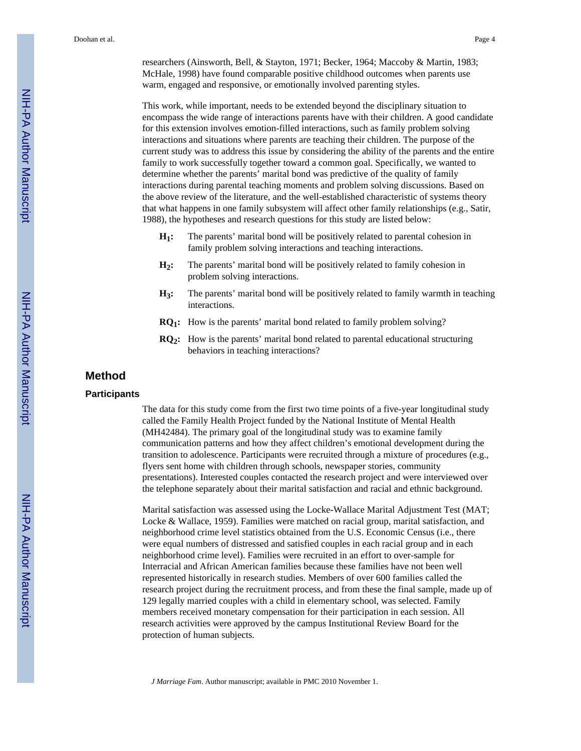researchers (Ainsworth, Bell, & Stayton, 1971; Becker, 1964; Maccoby & Martin, 1983; McHale, 1998) have found comparable positive childhood outcomes when parents use warm, engaged and responsive, or emotionally involved parenting styles.

This work, while important, needs to be extended beyond the disciplinary situation to encompass the wide range of interactions parents have with their children. A good candidate for this extension involves emotion-filled interactions, such as family problem solving interactions and situations where parents are teaching their children. The purpose of the current study was to address this issue by considering the ability of the parents and the entire family to work successfully together toward a common goal. Specifically, we wanted to determine whether the parents' marital bond was predictive of the quality of family interactions during parental teaching moments and problem solving discussions. Based on the above review of the literature, and the well-established characteristic of systems theory that what happens in one family subsystem will affect other family relationships (e.g., Satir, 1988), the hypotheses and research questions for this study are listed below:

- **H1:** The parents' marital bond will be positively related to parental cohesion in family problem solving interactions and teaching interactions.
- **H2:** The parents' marital bond will be positively related to family cohesion in problem solving interactions.
- **H3:** The parents' marital bond will be positively related to family warmth in teaching interactions.
- **RQ1:** How is the parents' marital bond related to family problem solving?
- **RQ2:** How is the parents' marital bond related to parental educational structuring behaviors in teaching interactions?

#### **Method**

#### **Participants**

The data for this study come from the first two time points of a five-year longitudinal study called the Family Health Project funded by the National Institute of Mental Health (MH42484). The primary goal of the longitudinal study was to examine family communication patterns and how they affect children's emotional development during the transition to adolescence. Participants were recruited through a mixture of procedures (e.g., flyers sent home with children through schools, newspaper stories, community presentations). Interested couples contacted the research project and were interviewed over the telephone separately about their marital satisfaction and racial and ethnic background.

Marital satisfaction was assessed using the Locke-Wallace Marital Adjustment Test (MAT; Locke & Wallace, 1959). Families were matched on racial group, marital satisfaction, and neighborhood crime level statistics obtained from the U.S. Economic Census (i.e., there were equal numbers of distressed and satisfied couples in each racial group and in each neighborhood crime level). Families were recruited in an effort to over-sample for Interracial and African American families because these families have not been well represented historically in research studies. Members of over 600 families called the research project during the recruitment process, and from these the final sample, made up of 129 legally married couples with a child in elementary school, was selected. Family members received monetary compensation for their participation in each session. All research activities were approved by the campus Institutional Review Board for the protection of human subjects.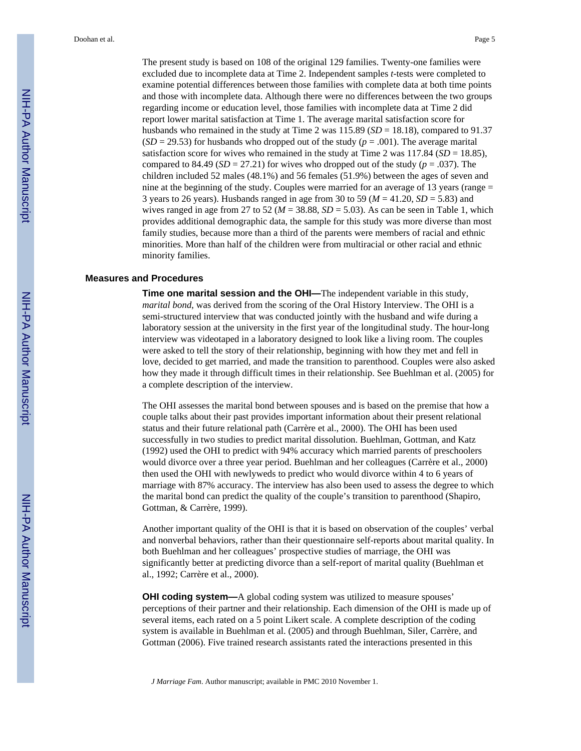The present study is based on 108 of the original 129 families. Twenty-one families were excluded due to incomplete data at Time 2. Independent samples *t*-tests were completed to examine potential differences between those families with complete data at both time points and those with incomplete data. Although there were no differences between the two groups regarding income or education level, those families with incomplete data at Time 2 did report lower marital satisfaction at Time 1. The average marital satisfaction score for husbands who remained in the study at Time 2 was 115.89 (*SD* = 18.18), compared to 91.37  $(SD = 29.53)$  for husbands who dropped out of the study ( $p = .001$ ). The average marital satisfaction score for wives who remained in the study at Time 2 was  $117.84$  (*SD* = 18.85), compared to 84.49 ( $SD = 27.21$ ) for wives who dropped out of the study ( $p = .037$ ). The children included 52 males (48.1%) and 56 females (51.9%) between the ages of seven and nine at the beginning of the study. Couples were married for an average of 13 years (range = 3 years to 26 years). Husbands ranged in age from 30 to 59 (*M* = 41.20, *SD* = 5.83) and wives ranged in age from 27 to 52 ( $M = 38.88$ ,  $SD = 5.03$ ). As can be seen in Table 1, which provides additional demographic data, the sample for this study was more diverse than most family studies, because more than a third of the parents were members of racial and ethnic minorities. More than half of the children were from multiracial or other racial and ethnic minority families.

#### **Measures and Procedures**

**Time one marital session and the OHI—**The independent variable in this study, *marital bond*, was derived from the scoring of the Oral History Interview. The OHI is a semi-structured interview that was conducted jointly with the husband and wife during a laboratory session at the university in the first year of the longitudinal study. The hour-long interview was videotaped in a laboratory designed to look like a living room. The couples were asked to tell the story of their relationship, beginning with how they met and fell in love, decided to get married, and made the transition to parenthood. Couples were also asked how they made it through difficult times in their relationship. See Buehlman et al. (2005) for a complete description of the interview.

The OHI assesses the marital bond between spouses and is based on the premise that how a couple talks about their past provides important information about their present relational status and their future relational path (Carrère et al., 2000). The OHI has been used successfully in two studies to predict marital dissolution. Buehlman, Gottman, and Katz (1992) used the OHI to predict with 94% accuracy which married parents of preschoolers would divorce over a three year period. Buehlman and her colleagues (Carrère et al., 2000) then used the OHI with newlyweds to predict who would divorce within 4 to 6 years of marriage with 87% accuracy. The interview has also been used to assess the degree to which the marital bond can predict the quality of the couple's transition to parenthood (Shapiro, Gottman, & Carrère, 1999).

Another important quality of the OHI is that it is based on observation of the couples' verbal and nonverbal behaviors, rather than their questionnaire self-reports about marital quality. In both Buehlman and her colleagues' prospective studies of marriage, the OHI was significantly better at predicting divorce than a self-report of marital quality (Buehlman et al., 1992; Carrère et al., 2000).

**OHI coding system—**A global coding system was utilized to measure spouses' perceptions of their partner and their relationship. Each dimension of the OHI is made up of several items, each rated on a 5 point Likert scale. A complete description of the coding system is available in Buehlman et al. (2005) and through Buehlman, Siler, Carrère, and Gottman (2006). Five trained research assistants rated the interactions presented in this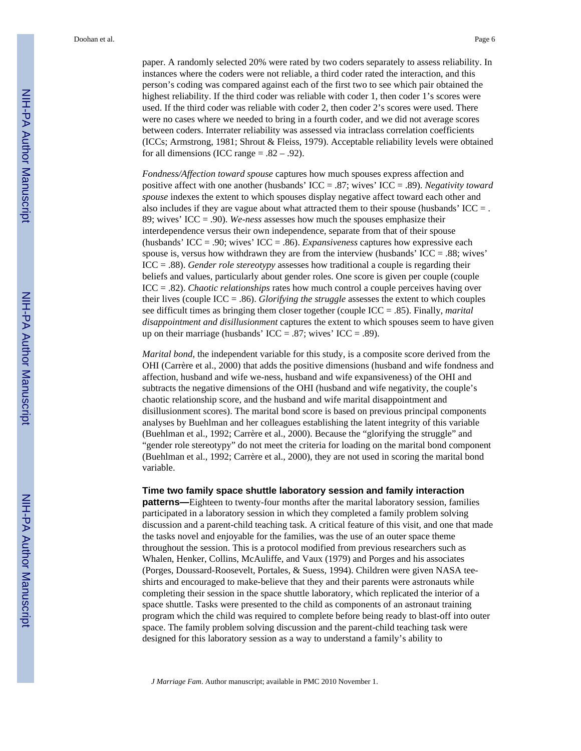paper. A randomly selected 20% were rated by two coders separately to assess reliability. In instances where the coders were not reliable, a third coder rated the interaction, and this person's coding was compared against each of the first two to see which pair obtained the highest reliability. If the third coder was reliable with coder 1, then coder 1's scores were used. If the third coder was reliable with coder 2, then coder 2's scores were used. There were no cases where we needed to bring in a fourth coder, and we did not average scores between coders. Interrater reliability was assessed via intraclass correlation coefficients (ICCs; Armstrong, 1981; Shrout & Fleiss, 1979). Acceptable reliability levels were obtained for all dimensions (ICC range  $= .82 - .92$ ).

*Fondness/Affection toward spouse* captures how much spouses express affection and positive affect with one another (husbands' ICC = .87; wives' ICC = .89). *Negativity toward spouse* indexes the extent to which spouses display negative affect toward each other and also includes if they are vague about what attracted them to their spouse (husbands'  $ICC =$ . 89; wives' ICC = .90). *We-ness* assesses how much the spouses emphasize their interdependence versus their own independence, separate from that of their spouse (husbands' ICC = .90; wives' ICC = .86). *Expansiveness* captures how expressive each spouse is, versus how withdrawn they are from the interview (husbands' ICC = .88; wives' ICC = .88). *Gender role stereotypy* assesses how traditional a couple is regarding their beliefs and values, particularly about gender roles. One score is given per couple (couple ICC = .82). *Chaotic relationships* rates how much control a couple perceives having over their lives (couple ICC = .86). *Glorifying the struggle* assesses the extent to which couples see difficult times as bringing them closer together (couple ICC = .85). Finally, *marital disappointment and disillusionment* captures the extent to which spouses seem to have given up on their marriage (husbands' ICC = .87; wives' ICC = .89).

*Marital bond*, the independent variable for this study, is a composite score derived from the OHI (Carrère et al., 2000) that adds the positive dimensions (husband and wife fondness and affection, husband and wife we-ness, husband and wife expansiveness) of the OHI and subtracts the negative dimensions of the OHI (husband and wife negativity, the couple's chaotic relationship score, and the husband and wife marital disappointment and disillusionment scores). The marital bond score is based on previous principal components analyses by Buehlman and her colleagues establishing the latent integrity of this variable (Buehlman et al., 1992; Carrère et al., 2000). Because the "glorifying the struggle" and "gender role stereotypy" do not meet the criteria for loading on the marital bond component (Buehlman et al., 1992; Carrère et al., 2000), they are not used in scoring the marital bond variable.

#### **Time two family space shuttle laboratory session and family interaction**

**patterns—**Eighteen to twenty-four months after the marital laboratory session, families participated in a laboratory session in which they completed a family problem solving discussion and a parent-child teaching task. A critical feature of this visit, and one that made the tasks novel and enjoyable for the families, was the use of an outer space theme throughout the session. This is a protocol modified from previous researchers such as Whalen, Henker, Collins, McAuliffe, and Vaux (1979) and Porges and his associates (Porges, Doussard-Roosevelt, Portales, & Suess, 1994). Children were given NASA teeshirts and encouraged to make-believe that they and their parents were astronauts while completing their session in the space shuttle laboratory, which replicated the interior of a space shuttle. Tasks were presented to the child as components of an astronaut training program which the child was required to complete before being ready to blast-off into outer space. The family problem solving discussion and the parent-child teaching task were designed for this laboratory session as a way to understand a family's ability to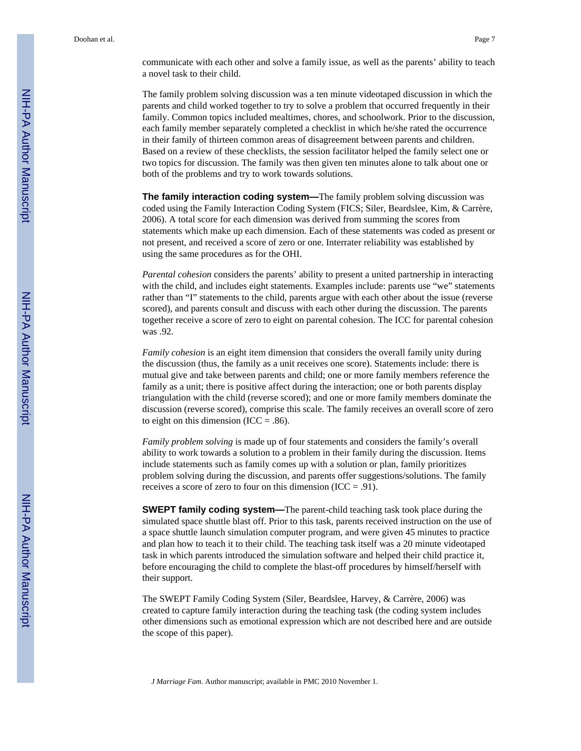communicate with each other and solve a family issue, as well as the parents' ability to teach a novel task to their child.

The family problem solving discussion was a ten minute videotaped discussion in which the parents and child worked together to try to solve a problem that occurred frequently in their family. Common topics included mealtimes, chores, and schoolwork. Prior to the discussion, each family member separately completed a checklist in which he/she rated the occurrence in their family of thirteen common areas of disagreement between parents and children. Based on a review of these checklists, the session facilitator helped the family select one or two topics for discussion. The family was then given ten minutes alone to talk about one or both of the problems and try to work towards solutions.

**The family interaction coding system—**The family problem solving discussion was coded using the Family Interaction Coding System (FICS; Siler, Beardslee, Kim, & Carrère, 2006). A total score for each dimension was derived from summing the scores from statements which make up each dimension. Each of these statements was coded as present or not present, and received a score of zero or one. Interrater reliability was established by using the same procedures as for the OHI.

*Parental cohesion* considers the parents' ability to present a united partnership in interacting with the child, and includes eight statements. Examples include: parents use "we" statements rather than "I" statements to the child, parents argue with each other about the issue (reverse scored), and parents consult and discuss with each other during the discussion. The parents together receive a score of zero to eight on parental cohesion. The ICC for parental cohesion was .92.

*Family cohesion* is an eight item dimension that considers the overall family unity during the discussion (thus, the family as a unit receives one score). Statements include: there is mutual give and take between parents and child; one or more family members reference the family as a unit; there is positive affect during the interaction; one or both parents display triangulation with the child (reverse scored); and one or more family members dominate the discussion (reverse scored), comprise this scale. The family receives an overall score of zero to eight on this dimension (ICC = .86).

*Family problem solving* is made up of four statements and considers the family's overall ability to work towards a solution to a problem in their family during the discussion. Items include statements such as family comes up with a solution or plan, family prioritizes problem solving during the discussion, and parents offer suggestions/solutions. The family receives a score of zero to four on this dimension (ICC = .91).

**SWEPT family coding system—**The parent-child teaching task took place during the simulated space shuttle blast off. Prior to this task, parents received instruction on the use of a space shuttle launch simulation computer program, and were given 45 minutes to practice and plan how to teach it to their child. The teaching task itself was a 20 minute videotaped task in which parents introduced the simulation software and helped their child practice it, before encouraging the child to complete the blast-off procedures by himself/herself with their support.

The SWEPT Family Coding System (Siler, Beardslee, Harvey, & Carrère, 2006) was created to capture family interaction during the teaching task (the coding system includes other dimensions such as emotional expression which are not described here and are outside the scope of this paper).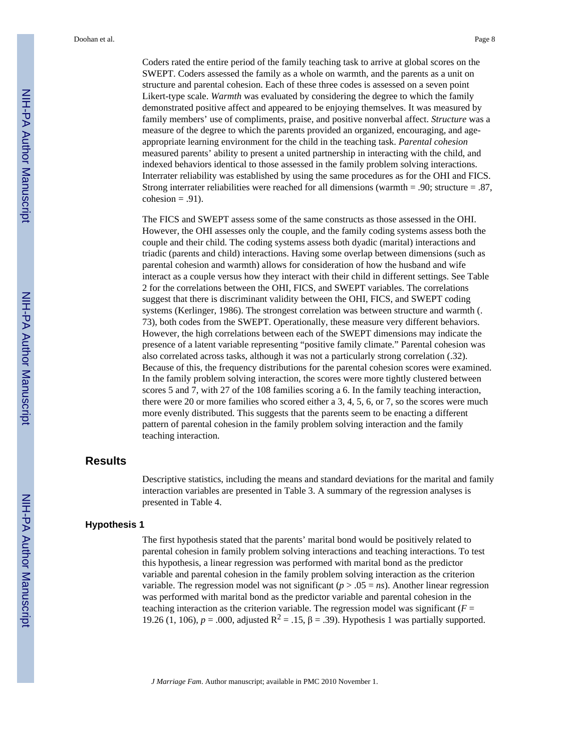Coders rated the entire period of the family teaching task to arrive at global scores on the SWEPT. Coders assessed the family as a whole on warmth, and the parents as a unit on structure and parental cohesion. Each of these three codes is assessed on a seven point Likert-type scale. *Warmth* was evaluated by considering the degree to which the family demonstrated positive affect and appeared to be enjoying themselves. It was measured by family members' use of compliments, praise, and positive nonverbal affect. *Structure* was a measure of the degree to which the parents provided an organized, encouraging, and ageappropriate learning environment for the child in the teaching task. *Parental cohesion* measured parents' ability to present a united partnership in interacting with the child, and indexed behaviors identical to those assessed in the family problem solving interactions. Interrater reliability was established by using the same procedures as for the OHI and FICS. Strong interrater reliabilities were reached for all dimensions (warmth = .90; structure = .87,  $cohesion = .91$ ).

The FICS and SWEPT assess some of the same constructs as those assessed in the OHI. However, the OHI assesses only the couple, and the family coding systems assess both the couple and their child. The coding systems assess both dyadic (marital) interactions and triadic (parents and child) interactions. Having some overlap between dimensions (such as parental cohesion and warmth) allows for consideration of how the husband and wife interact as a couple versus how they interact with their child in different settings. See Table 2 for the correlations between the OHI, FICS, and SWEPT variables. The correlations suggest that there is discriminant validity between the OHI, FICS, and SWEPT coding systems (Kerlinger, 1986). The strongest correlation was between structure and warmth (. 73), both codes from the SWEPT. Operationally, these measure very different behaviors. However, the high correlations between each of the SWEPT dimensions may indicate the presence of a latent variable representing "positive family climate." Parental cohesion was also correlated across tasks, although it was not a particularly strong correlation (.32). Because of this, the frequency distributions for the parental cohesion scores were examined. In the family problem solving interaction, the scores were more tightly clustered between scores 5 and 7, with 27 of the 108 families scoring a 6. In the family teaching interaction, there were 20 or more families who scored either a 3, 4, 5, 6, or 7, so the scores were much more evenly distributed. This suggests that the parents seem to be enacting a different pattern of parental cohesion in the family problem solving interaction and the family teaching interaction.

#### **Results**

Descriptive statistics, including the means and standard deviations for the marital and family interaction variables are presented in Table 3. A summary of the regression analyses is presented in Table 4.

#### **Hypothesis 1**

The first hypothesis stated that the parents' marital bond would be positively related to parental cohesion in family problem solving interactions and teaching interactions. To test this hypothesis, a linear regression was performed with marital bond as the predictor variable and parental cohesion in the family problem solving interaction as the criterion variable. The regression model was not significant  $(p > 0.05 = ns)$ . Another linear regression was performed with marital bond as the predictor variable and parental cohesion in the teaching interaction as the criterion variable. The regression model was significant ( $F =$ 19.26 (1, 106),  $p = .000$ , adjusted R<sup>2</sup> = .15, β = .39). Hypothesis 1 was partially supported.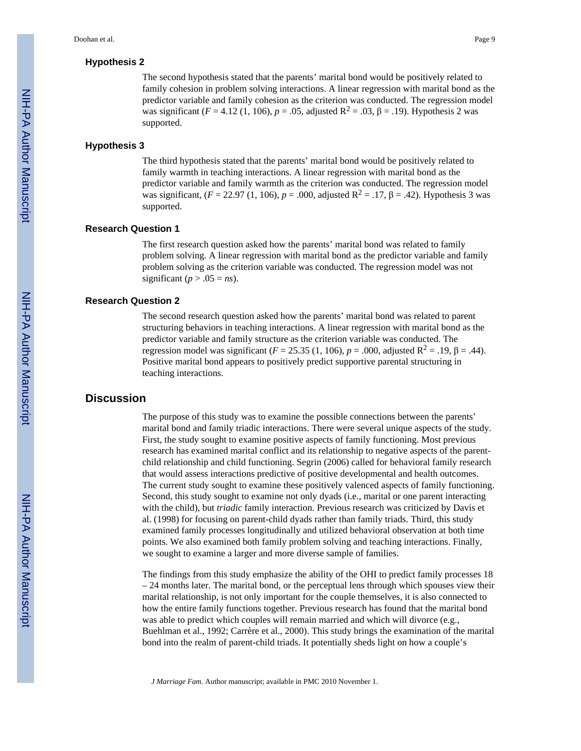#### **Hypothesis 2**

The second hypothesis stated that the parents' marital bond would be positively related to family cohesion in problem solving interactions. A linear regression with marital bond as the predictor variable and family cohesion as the criterion was conducted. The regression model was significant ( $F = 4.12$  (1, 106),  $p = .05$ , adjusted  $R^2 = .03$ ,  $\beta = .19$ ). Hypothesis 2 was supported.

#### **Hypothesis 3**

The third hypothesis stated that the parents' marital bond would be positively related to family warmth in teaching interactions. A linear regression with marital bond as the predictor variable and family warmth as the criterion was conducted. The regression model was significant,  $(F = 22.97 (1, 106), p = .000$ , adjusted  $R^2 = .17, \beta = .42$ ). Hypothesis 3 was supported.

#### **Research Question 1**

The first research question asked how the parents' marital bond was related to family problem solving. A linear regression with marital bond as the predictor variable and family problem solving as the criterion variable was conducted. The regression model was not significant ( $p > .05 = ns$ ).

#### **Research Question 2**

The second research question asked how the parents' marital bond was related to parent structuring behaviors in teaching interactions. A linear regression with marital bond as the predictor variable and family structure as the criterion variable was conducted. The regression model was significant (*F* = 25.35 (1, 106), *p* = .000, adjusted R<sup>2</sup> = .19, β = .44). Positive marital bond appears to positively predict supportive parental structuring in teaching interactions.

#### **Discussion**

The purpose of this study was to examine the possible connections between the parents' marital bond and family triadic interactions. There were several unique aspects of the study. First, the study sought to examine positive aspects of family functioning. Most previous research has examined marital conflict and its relationship to negative aspects of the parentchild relationship and child functioning. Segrin (2006) called for behavioral family research that would assess interactions predictive of positive developmental and health outcomes. The current study sought to examine these positively valenced aspects of family functioning. Second, this study sought to examine not only dyads (i.e., marital or one parent interacting with the child), but *triadic* family interaction. Previous research was criticized by Davis et al. (1998) for focusing on parent-child dyads rather than family triads. Third, this study examined family processes longitudinally and utilized behavioral observation at both time points. We also examined both family problem solving and teaching interactions. Finally, we sought to examine a larger and more diverse sample of families.

The findings from this study emphasize the ability of the OHI to predict family processes 18  $-24$  months later. The marital bond, or the perceptual lens through which spouses view their marital relationship, is not only important for the couple themselves, it is also connected to how the entire family functions together. Previous research has found that the marital bond was able to predict which couples will remain married and which will divorce (e.g., Buehlman et al., 1992; Carrère et al., 2000). This study brings the examination of the marital bond into the realm of parent-child triads. It potentially sheds light on how a couple's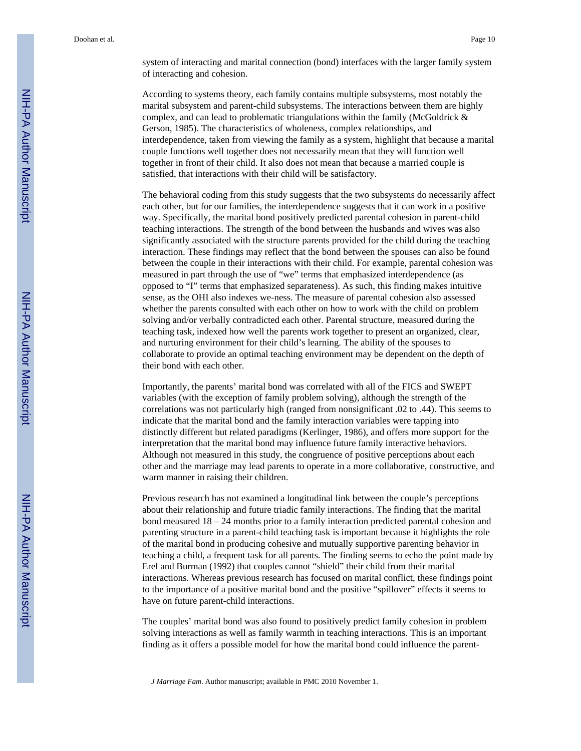system of interacting and marital connection (bond) interfaces with the larger family system of interacting and cohesion.

According to systems theory, each family contains multiple subsystems, most notably the marital subsystem and parent-child subsystems. The interactions between them are highly complex, and can lead to problematic triangulations within the family (McGoldrick & Gerson, 1985). The characteristics of wholeness, complex relationships, and interdependence, taken from viewing the family as a system, highlight that because a marital couple functions well together does not necessarily mean that they will function well together in front of their child. It also does not mean that because a married couple is satisfied, that interactions with their child will be satisfactory.

The behavioral coding from this study suggests that the two subsystems do necessarily affect each other, but for our families, the interdependence suggests that it can work in a positive way. Specifically, the marital bond positively predicted parental cohesion in parent-child teaching interactions. The strength of the bond between the husbands and wives was also significantly associated with the structure parents provided for the child during the teaching interaction. These findings may reflect that the bond between the spouses can also be found between the couple in their interactions with their child. For example, parental cohesion was measured in part through the use of "we" terms that emphasized interdependence (as opposed to "I" terms that emphasized separateness). As such, this finding makes intuitive sense, as the OHI also indexes we-ness. The measure of parental cohesion also assessed whether the parents consulted with each other on how to work with the child on problem solving and/or verbally contradicted each other. Parental structure, measured during the teaching task, indexed how well the parents work together to present an organized, clear, and nurturing environment for their child's learning. The ability of the spouses to collaborate to provide an optimal teaching environment may be dependent on the depth of their bond with each other.

Importantly, the parents' marital bond was correlated with all of the FICS and SWEPT variables (with the exception of family problem solving), although the strength of the correlations was not particularly high (ranged from nonsignificant .02 to .44). This seems to indicate that the marital bond and the family interaction variables were tapping into distinctly different but related paradigms (Kerlinger, 1986), and offers more support for the interpretation that the marital bond may influence future family interactive behaviors. Although not measured in this study, the congruence of positive perceptions about each other and the marriage may lead parents to operate in a more collaborative, constructive, and warm manner in raising their children.

Previous research has not examined a longitudinal link between the couple's perceptions about their relationship and future triadic family interactions. The finding that the marital bond measured 18 – 24 months prior to a family interaction predicted parental cohesion and parenting structure in a parent-child teaching task is important because it highlights the role of the marital bond in producing cohesive and mutually supportive parenting behavior in teaching a child, a frequent task for all parents. The finding seems to echo the point made by Erel and Burman (1992) that couples cannot "shield" their child from their marital interactions. Whereas previous research has focused on marital conflict, these findings point to the importance of a positive marital bond and the positive "spillover" effects it seems to have on future parent-child interactions.

The couples' marital bond was also found to positively predict family cohesion in problem solving interactions as well as family warmth in teaching interactions. This is an important finding as it offers a possible model for how the marital bond could influence the parent-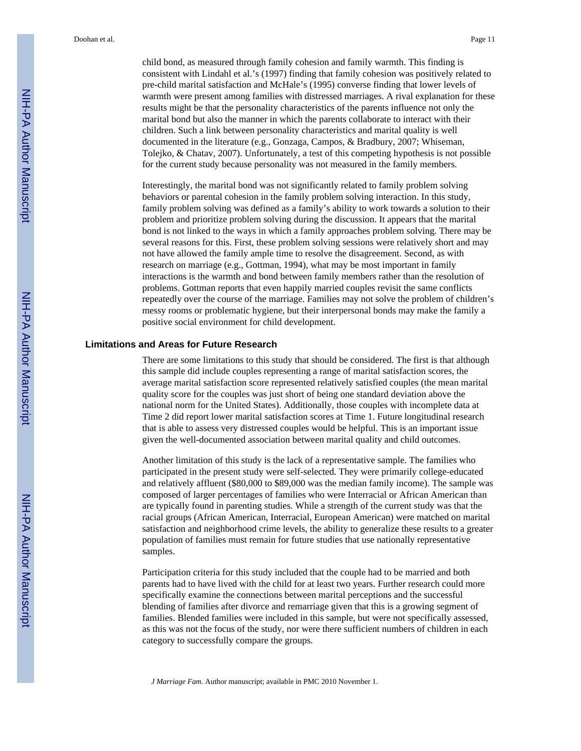child bond, as measured through family cohesion and family warmth. This finding is consistent with Lindahl et al.'s (1997) finding that family cohesion was positively related to pre-child marital satisfaction and McHale's (1995) converse finding that lower levels of warmth were present among families with distressed marriages. A rival explanation for these results might be that the personality characteristics of the parents influence not only the marital bond but also the manner in which the parents collaborate to interact with their children. Such a link between personality characteristics and marital quality is well documented in the literature (e.g., Gonzaga, Campos, & Bradbury, 2007; Whiseman, Tolejko, & Chatav, 2007). Unfortunately, a test of this competing hypothesis is not possible for the current study because personality was not measured in the family members.

Interestingly, the marital bond was not significantly related to family problem solving behaviors or parental cohesion in the family problem solving interaction. In this study, family problem solving was defined as a family's ability to work towards a solution to their problem and prioritize problem solving during the discussion. It appears that the marital bond is not linked to the ways in which a family approaches problem solving. There may be several reasons for this. First, these problem solving sessions were relatively short and may not have allowed the family ample time to resolve the disagreement. Second, as with research on marriage (e.g., Gottman, 1994), what may be most important in family interactions is the warmth and bond between family members rather than the resolution of problems. Gottman reports that even happily married couples revisit the same conflicts repeatedly over the course of the marriage. Families may not solve the problem of children's messy rooms or problematic hygiene, but their interpersonal bonds may make the family a positive social environment for child development.

#### **Limitations and Areas for Future Research**

There are some limitations to this study that should be considered. The first is that although this sample did include couples representing a range of marital satisfaction scores, the average marital satisfaction score represented relatively satisfied couples (the mean marital quality score for the couples was just short of being one standard deviation above the national norm for the United States). Additionally, those couples with incomplete data at Time 2 did report lower marital satisfaction scores at Time 1. Future longitudinal research that is able to assess very distressed couples would be helpful. This is an important issue given the well-documented association between marital quality and child outcomes.

Another limitation of this study is the lack of a representative sample. The families who participated in the present study were self-selected. They were primarily college-educated and relatively affluent (\$80,000 to \$89,000 was the median family income). The sample was composed of larger percentages of families who were Interracial or African American than are typically found in parenting studies. While a strength of the current study was that the racial groups (African American, Interracial, European American) were matched on marital satisfaction and neighborhood crime levels, the ability to generalize these results to a greater population of families must remain for future studies that use nationally representative samples.

Participation criteria for this study included that the couple had to be married and both parents had to have lived with the child for at least two years. Further research could more specifically examine the connections between marital perceptions and the successful blending of families after divorce and remarriage given that this is a growing segment of families. Blended families were included in this sample, but were not specifically assessed, as this was not the focus of the study, nor were there sufficient numbers of children in each category to successfully compare the groups.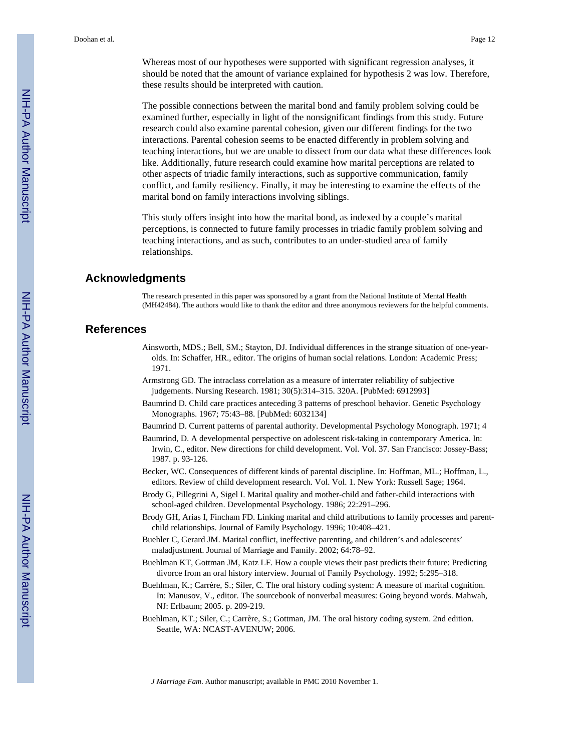Whereas most of our hypotheses were supported with significant regression analyses, it should be noted that the amount of variance explained for hypothesis 2 was low. Therefore, these results should be interpreted with caution.

The possible connections between the marital bond and family problem solving could be examined further, especially in light of the nonsignificant findings from this study. Future research could also examine parental cohesion, given our different findings for the two interactions. Parental cohesion seems to be enacted differently in problem solving and teaching interactions, but we are unable to dissect from our data what these differences look like. Additionally, future research could examine how marital perceptions are related to other aspects of triadic family interactions, such as supportive communication, family conflict, and family resiliency. Finally, it may be interesting to examine the effects of the marital bond on family interactions involving siblings.

This study offers insight into how the marital bond, as indexed by a couple's marital perceptions, is connected to future family processes in triadic family problem solving and teaching interactions, and as such, contributes to an under-studied area of family relationships.

#### **Acknowledgments**

The research presented in this paper was sponsored by a grant from the National Institute of Mental Health (MH42484). The authors would like to thank the editor and three anonymous reviewers for the helpful comments.

#### **References**

- Ainsworth, MDS.; Bell, SM.; Stayton, DJ. Individual differences in the strange situation of one-yearolds. In: Schaffer, HR., editor. The origins of human social relations. London: Academic Press; 1971.
- Armstrong GD. The intraclass correlation as a measure of interrater reliability of subjective judgements. Nursing Research. 1981; 30(5):314–315. 320A. [PubMed: 6912993]
- Baumrind D. Child care practices anteceding 3 patterns of preschool behavior. Genetic Psychology Monographs. 1967; 75:43–88. [PubMed: 6032134]
- Baumrind D. Current patterns of parental authority. Developmental Psychology Monograph. 1971; 4
- Baumrind, D. A developmental perspective on adolescent risk-taking in contemporary America. In: Irwin, C., editor. New directions for child development. Vol. Vol. 37. San Francisco: Jossey-Bass; 1987. p. 93-126.
- Becker, WC. Consequences of different kinds of parental discipline. In: Hoffman, ML.; Hoffman, L., editors. Review of child development research. Vol. Vol. 1. New York: Russell Sage; 1964.
- Brody G, Pillegrini A, Sigel I. Marital quality and mother-child and father-child interactions with school-aged children. Developmental Psychology. 1986; 22:291–296.
- Brody GH, Arias I, Fincham FD. Linking marital and child attributions to family processes and parentchild relationships. Journal of Family Psychology. 1996; 10:408–421.
- Buehler C, Gerard JM. Marital conflict, ineffective parenting, and children's and adolescents' maladjustment. Journal of Marriage and Family. 2002; 64:78–92.
- Buehlman KT, Gottman JM, Katz LF. How a couple views their past predicts their future: Predicting divorce from an oral history interview. Journal of Family Psychology. 1992; 5:295–318.
- Buehlman, K.; Carrère, S.; Siler, C. The oral history coding system: A measure of marital cognition. In: Manusov, V., editor. The sourcebook of nonverbal measures: Going beyond words. Mahwah, NJ: Erlbaum; 2005. p. 209-219.
- Buehlman, KT.; Siler, C.; Carrère, S.; Gottman, JM. The oral history coding system. 2nd edition. Seattle, WA: NCAST-AVENUW; 2006.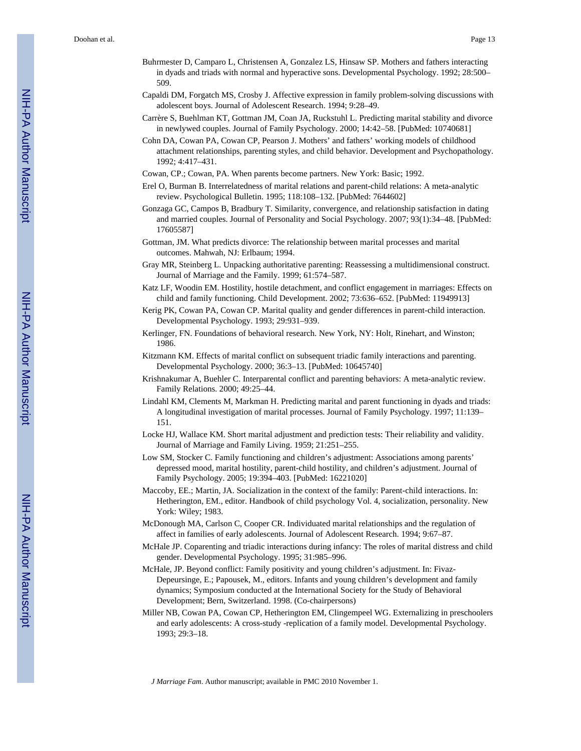- Buhrmester D, Camparo L, Christensen A, Gonzalez LS, Hinsaw SP. Mothers and fathers interacting in dyads and triads with normal and hyperactive sons. Developmental Psychology. 1992; 28:500– 509.
- Capaldi DM, Forgatch MS, Crosby J. Affective expression in family problem-solving discussions with adolescent boys. Journal of Adolescent Research. 1994; 9:28–49.
- Carrère S, Buehlman KT, Gottman JM, Coan JA, Ruckstuhl L. Predicting marital stability and divorce in newlywed couples. Journal of Family Psychology. 2000; 14:42–58. [PubMed: 10740681]
- Cohn DA, Cowan PA, Cowan CP, Pearson J. Mothers' and fathers' working models of childhood attachment relationships, parenting styles, and child behavior. Development and Psychopathology. 1992; 4:417–431.
- Cowan, CP.; Cowan, PA. When parents become partners. New York: Basic; 1992.
- Erel O, Burman B. Interrelatedness of marital relations and parent-child relations: A meta-analytic review. Psychological Bulletin. 1995; 118:108–132. [PubMed: 7644602]
- Gonzaga GC, Campos B, Bradbury T. Similarity, convergence, and relationship satisfaction in dating and married couples. Journal of Personality and Social Psychology. 2007; 93(1):34–48. [PubMed: 17605587]
- Gottman, JM. What predicts divorce: The relationship between marital processes and marital outcomes. Mahwah, NJ: Erlbaum; 1994.
- Gray MR, Steinberg L. Unpacking authoritative parenting: Reassessing a multidimensional construct. Journal of Marriage and the Family. 1999; 61:574–587.
- Katz LF, Woodin EM. Hostility, hostile detachment, and conflict engagement in marriages: Effects on child and family functioning. Child Development. 2002; 73:636–652. [PubMed: 11949913]
- Kerig PK, Cowan PA, Cowan CP. Marital quality and gender differences in parent-child interaction. Developmental Psychology. 1993; 29:931–939.
- Kerlinger, FN. Foundations of behavioral research. New York, NY: Holt, Rinehart, and Winston; 1986.
- Kitzmann KM. Effects of marital conflict on subsequent triadic family interactions and parenting. Developmental Psychology. 2000; 36:3–13. [PubMed: 10645740]
- Krishnakumar A, Buehler C. Interparental conflict and parenting behaviors: A meta-analytic review. Family Relations. 2000; 49:25–44.
- Lindahl KM, Clements M, Markman H. Predicting marital and parent functioning in dyads and triads: A longitudinal investigation of marital processes. Journal of Family Psychology. 1997; 11:139– 151.
- Locke HJ, Wallace KM. Short marital adjustment and prediction tests: Their reliability and validity. Journal of Marriage and Family Living. 1959; 21:251–255.
- Low SM, Stocker C. Family functioning and children's adjustment: Associations among parents' depressed mood, marital hostility, parent-child hostility, and children's adjustment. Journal of Family Psychology. 2005; 19:394–403. [PubMed: 16221020]
- Maccoby, EE.; Martin, JA. Socialization in the context of the family: Parent-child interactions. In: Hetherington, EM., editor. Handbook of child psychology Vol. 4, socialization, personality. New York: Wiley; 1983.
- McDonough MA, Carlson C, Cooper CR. Individuated marital relationships and the regulation of affect in families of early adolescents. Journal of Adolescent Research. 1994; 9:67–87.
- McHale JP. Coparenting and triadic interactions during infancy: The roles of marital distress and child gender. Developmental Psychology. 1995; 31:985–996.
- McHale, JP. Beyond conflict: Family positivity and young children's adjustment. In: Fivaz-Depeursinge, E.; Papousek, M., editors. Infants and young children's development and family dynamics; Symposium conducted at the International Society for the Study of Behavioral Development; Bern, Switzerland. 1998. (Co-chairpersons)
- Miller NB, Cowan PA, Cowan CP, Hetherington EM, Clingempeel WG. Externalizing in preschoolers and early adolescents: A cross-study -replication of a family model. Developmental Psychology. 1993; 29:3–18.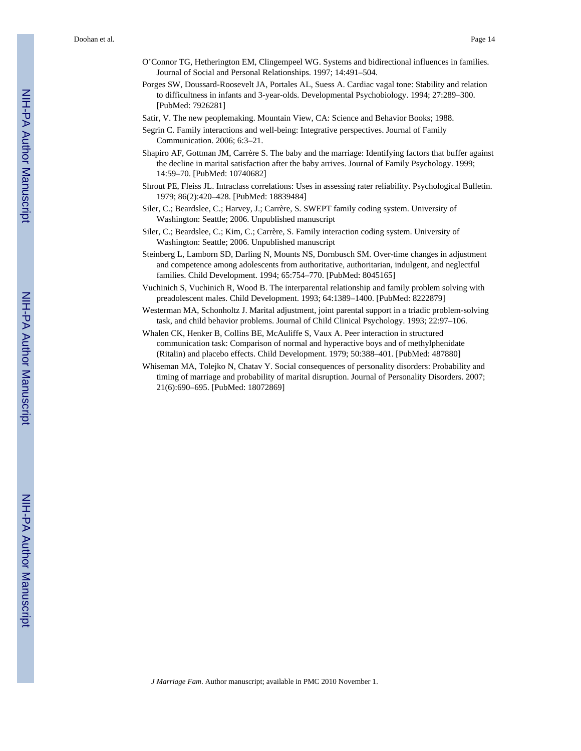- O'Connor TG, Hetherington EM, Clingempeel WG. Systems and bidirectional influences in families. Journal of Social and Personal Relationships. 1997; 14:491–504.
- Porges SW, Doussard-Roosevelt JA, Portales AL, Suess A. Cardiac vagal tone: Stability and relation to difficultness in infants and 3-year-olds. Developmental Psychobiology. 1994; 27:289–300. [PubMed: 7926281]
- Satir, V. The new peoplemaking. Mountain View, CA: Science and Behavior Books; 1988.
- Segrin C. Family interactions and well-being: Integrative perspectives. Journal of Family Communication. 2006; 6:3–21.
- Shapiro AF, Gottman JM, Carrère S. The baby and the marriage: Identifying factors that buffer against the decline in marital satisfaction after the baby arrives. Journal of Family Psychology. 1999; 14:59–70. [PubMed: 10740682]
- Shrout PE, Fleiss JL. Intraclass correlations: Uses in assessing rater reliability. Psychological Bulletin. 1979; 86(2):420–428. [PubMed: 18839484]
- Siler, C.; Beardslee, C.; Harvey, J.; Carrère, S. SWEPT family coding system. University of Washington: Seattle; 2006. Unpublished manuscript
- Siler, C.; Beardslee, C.; Kim, C.; Carrère, S. Family interaction coding system. University of Washington: Seattle; 2006. Unpublished manuscript
- Steinberg L, Lamborn SD, Darling N, Mounts NS, Dornbusch SM. Over-time changes in adjustment and competence among adolescents from authoritative, authoritarian, indulgent, and neglectful families. Child Development. 1994; 65:754–770. [PubMed: 8045165]
- Vuchinich S, Vuchinich R, Wood B. The interparental relationship and family problem solving with preadolescent males. Child Development. 1993; 64:1389–1400. [PubMed: 8222879]
- Westerman MA, Schonholtz J. Marital adjustment, joint parental support in a triadic problem-solving task, and child behavior problems. Journal of Child Clinical Psychology. 1993; 22:97–106.
- Whalen CK, Henker B, Collins BE, McAuliffe S, Vaux A. Peer interaction in structured communication task: Comparison of normal and hyperactive boys and of methylphenidate (Ritalin) and placebo effects. Child Development. 1979; 50:388–401. [PubMed: 487880]
- Whiseman MA, Tolejko N, Chatav Y. Social consequences of personality disorders: Probability and timing of marriage and probability of marital disruption. Journal of Personality Disorders. 2007; 21(6):690–695. [PubMed: 18072869]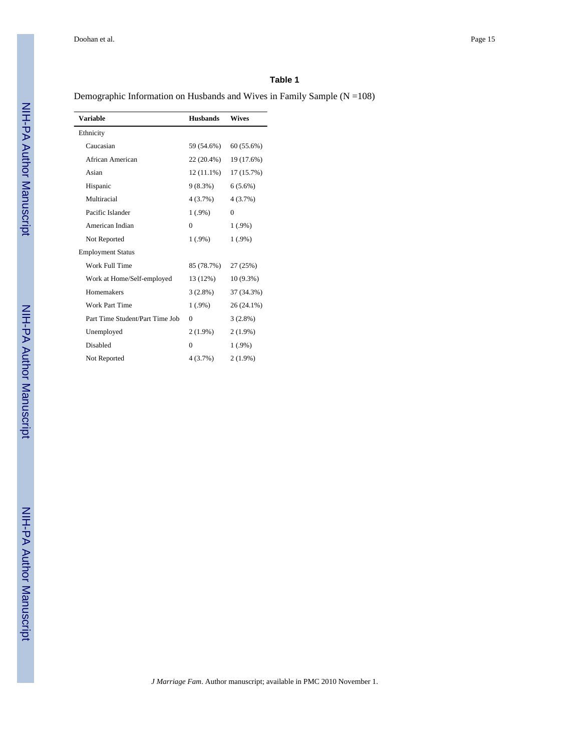#### **Table 1**

Demographic Information on Husbands and Wives in Family Sample (N =108)

| <b>Variable</b>                 | <b>Husbands</b> | <b>Wives</b> |
|---------------------------------|-----------------|--------------|
| Ethnicity                       |                 |              |
| Caucasian                       | 59 (54.6%)      | 60(55.6%)    |
| African American                | 22 (20.4%)      | 19 (17.6%)   |
| Asian                           | $12(11.1\%)$    | 17 (15.7%)   |
| Hispanic                        | $9(8.3\%)$      | $6(5.6\%)$   |
| Multiracial                     | 4(3.7%)         | $4(3.7\%)$   |
| Pacific Islander                | $1(.9\%)$       | $\Omega$     |
| American Indian                 | $\Omega$        | $1(.9\%)$    |
| Not Reported                    | $1(.9\%)$       | $1(.9\%)$    |
| <b>Employment Status</b>        |                 |              |
| Work Full Time                  | 85 (78.7%)      | 27(25%)      |
| Work at Home/Self-employed      | 13 (12%)        | $10(9.3\%)$  |
| Homemakers                      | $3(2.8\%)$      | 37 (34.3%)   |
| Work Part Time                  | $1(.9\%)$       | 26 (24.1%)   |
| Part Time Student/Part Time Job | $\Omega$        | $3(2.8\%)$   |
| Unemployed                      | $2(1.9\%)$      | $2(1.9\%)$   |
| Disabled                        | $\Omega$        | $1(.9\%)$    |
| Not Reported                    | 4(3.7%)         | $2(1.9\%)$   |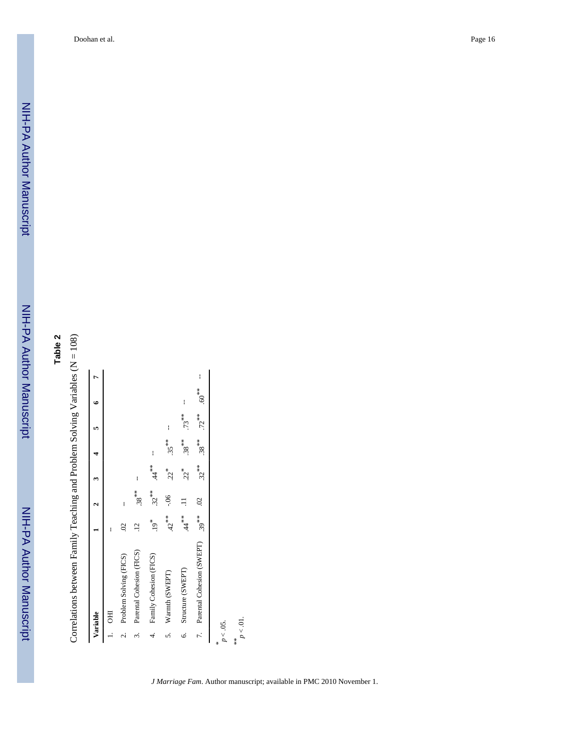# **Table 2**

| ¢<br>)<br> <br>$\overline{\phantom{a}}$<br>I<br>l<br>ļ<br>l |
|-------------------------------------------------------------|
| Į<br>j                                                      |
| ĺ<br>١<br>ĭ                                                 |
| I                                                           |
| is a strip<br>)                                             |
| ı<br>ļ                                                      |
|                                                             |
| ζ                                                           |

|               | Variable                  |            | 2              |          | ₹        | m        | c       |  |
|---------------|---------------------------|------------|----------------|----------|----------|----------|---------|--|
|               | 菌                         | ł          |                |          |          |          |         |  |
| ς.            | Problem Solving (FICS)    | S          | ł              |          |          |          |         |  |
|               | Parental Cohesion (FICS)  | $\ddot{5}$ | $.38***$       | ł        |          |          |         |  |
| 4.            | Family Cohesion (FICS)    | $.19*$     | $.32***$       | $44 *$   | ł        |          |         |  |
| s.            | Warnth (SWEPT)            | $42^{***}$ | $-0.06$        | $22^*$   | $.35***$ | ł        |         |  |
| <sub>Ó</sub>  | Structure (SWEPT)         | 44         |                | $22^*$   | $.38***$ | $.73***$ | I       |  |
| $\ddot{\sim}$ | Parental Cohesion (SWEPT) | $.39***$   | $\mathfrak{S}$ | $.32***$ | $.38***$ | $.72***$ | $*$ 60. |  |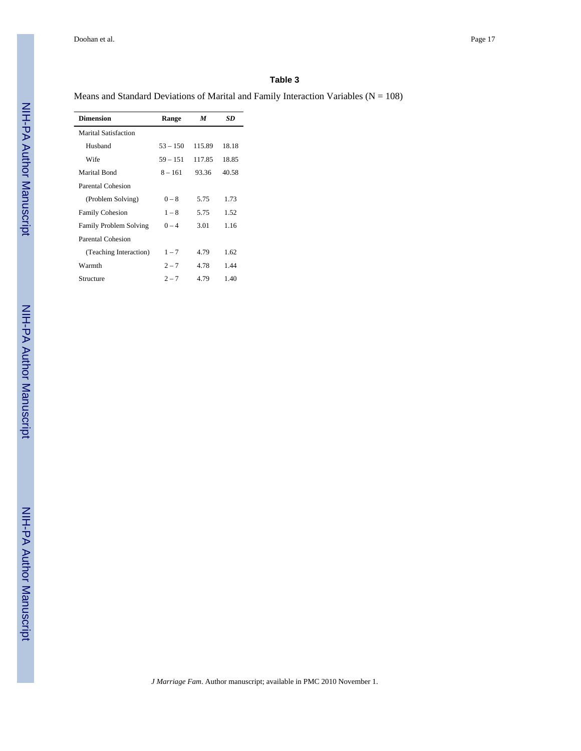#### **Table 3**

Means and Standard Deviations of Marital and Family Interaction Variables ( $N = 108$ )

| <b>Dimension</b>              | Range      | M      | SD    |
|-------------------------------|------------|--------|-------|
| <b>Marital Satisfaction</b>   |            |        |       |
| Husband                       | $53 - 150$ | 115.89 | 18.18 |
| Wife                          | $59 - 151$ | 117.85 | 18.85 |
| Marital Bond                  | $8 - 161$  | 93.36  | 40.58 |
| Parental Cohesion             |            |        |       |
| (Problem Solving)             | $0 - 8$    | 5.75   | 1.73  |
| <b>Family Cohesion</b>        | $1 - 8$    | 5.75   | 1.52  |
| <b>Family Problem Solving</b> | $0 - 4$    | 3.01   | 1.16  |
| Parental Cohesion             |            |        |       |
| (Teaching Interaction)        | $1 - 7$    | 4.79   | 1.62  |
| Warmth                        | $2 - 7$    | 4.78   | 1.44  |
| Structure                     | $2 - 7$    | 4.79   | 140   |